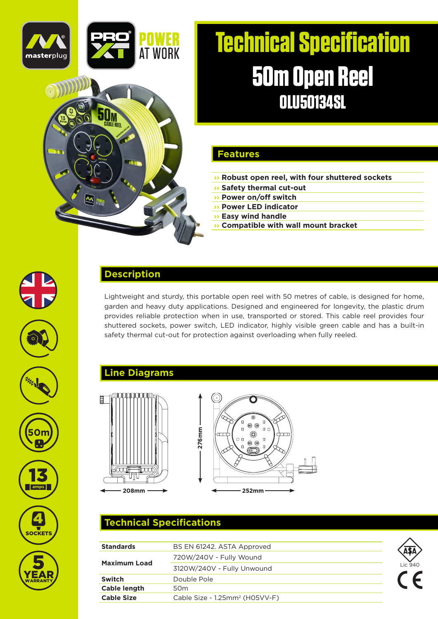



#### **Features**

- **›› Robust open reel, with four shuttered sockets**
- **›› Safety thermal cut-out**
- **›› Power on/off switch**
- **›› Power LED indicator**
- **›› Easy wind handle**
- **›› Compatible with wall mount bracket**



### **Description**

Lightweight and sturdy, this portable open reel with 50 metres of cable, is designed for home, garden and heavy duty applications. Designed and engineered for longevity, the plastic drum provides reliable protection when in use, transported or stored. This cable reel provides four shuttered sockets, power switch, LED indicator, highly visible green cable and has a built-in safety thermal cut-out for protection against overloading when fully reeled.

### **Line Diagrams**





# **Technical Specifications**

| <b>Standards</b>    | BS EN 61242. ASTA Approved                 |            |
|---------------------|--------------------------------------------|------------|
| <b>Maximum Load</b> | 720W/240V - Fully Wound                    |            |
|                     | 3120W/240V - Fully Unwound                 | Lic 940    |
| <b>Switch</b>       | Double Pole                                | $\epsilon$ |
| <b>Cable length</b> | 50 <sub>m</sub>                            |            |
| <b>Cable Size</b>   | Cable Size - 1.25mm <sup>2</sup> (H05VV-F) |            |